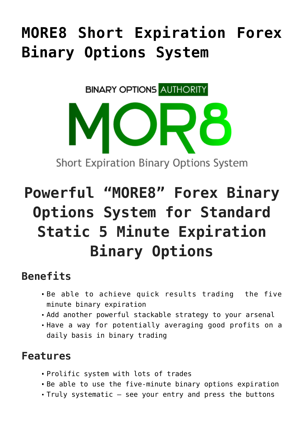## **[MORE8 Short Expiration Forex](https://binaryoptionsauthority.com/more8-short-expiration-forex-binary-options-system/) [Binary Options System](https://binaryoptionsauthority.com/more8-short-expiration-forex-binary-options-system/)**

**BINARY OPTIONS AUTHORITY** 

# **Powerful "MORE8" Forex Binary Options System for Standard Static 5 Minute Expiration Binary Options**

**Short Expiration Binary Options System** 

#### **Benefits**

- Be able to achieve quick results trading the five minute binary expiration
- Add another powerful stackable strategy to your arsenal
- Have a way for potentially averaging good profits on a daily basis in binary trading

#### **Features**

- Prolific system with lots of trades
- Be able to use the five-minute binary options expiration
- Truly systematic see your entry and press the buttons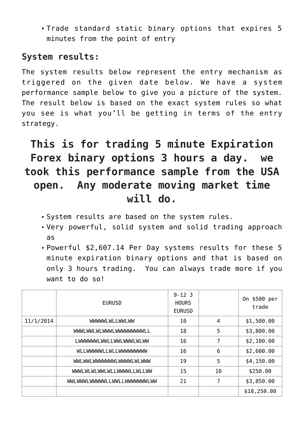Trade standard static binary options that expires 5 minutes from the point of entry

#### **System results:**

The system results below represent the entry mechanism as triggered on the given date below. We have a system performance sample below to give you a picture of the system. The result below is based on the exact system rules so what you see is what you'll be getting in terms of the entry strategy.

### **This is for trading 5 minute Expiration Forex binary options 3 hours a day. we took this performance sample from the USA open. Any moderate moving market time will do.**

- System results are based on the system rules.
- Very powerful, solid system and solid trading approach as
- Powerful \$2,607.14 Per Day systems results for these 5 minute expiration binary options and that is based on only 3 hours trading. You can always trade more if you want to do so!

|           | <b>EURUSD</b>                        | $9 - 12$ 3<br><b>HOURS</b><br><b>EURUSD</b> |    | 0n \$500 per<br>trade |
|-----------|--------------------------------------|---------------------------------------------|----|-----------------------|
| 11/1/2014 | <b>WWWWLWLLWWLWW</b>                 | 10                                          | 4  | \$1,500.00            |
|           | <b>WWWLWWLWLWWWWLILWWWWWWWLILWWW</b> | 18                                          | 5  | \$3,800.00            |
|           | LWWWWWLWWLLWWLWWWLWLWW               | 16                                          | 7  | \$2,100.00            |
|           | WLLWWWWWLLWLLWWWWWWWW                | 16                                          | 6  | \$2,600.00            |
|           | <b>WWLWWLWWWWWWLWWWWLWLWWW</b>       | 19                                          | 5  | \$4,150.00            |
|           | WWI WLWLWI WL LWWWI LWLLWW           | 15                                          | 10 | \$250.00              |
|           | <b>WWLWWWLWWWWWLLWWLLWWWWWWLWW</b>   | 21                                          | 7  | \$3,850.00            |
|           |                                      |                                             |    | \$18,250.00           |